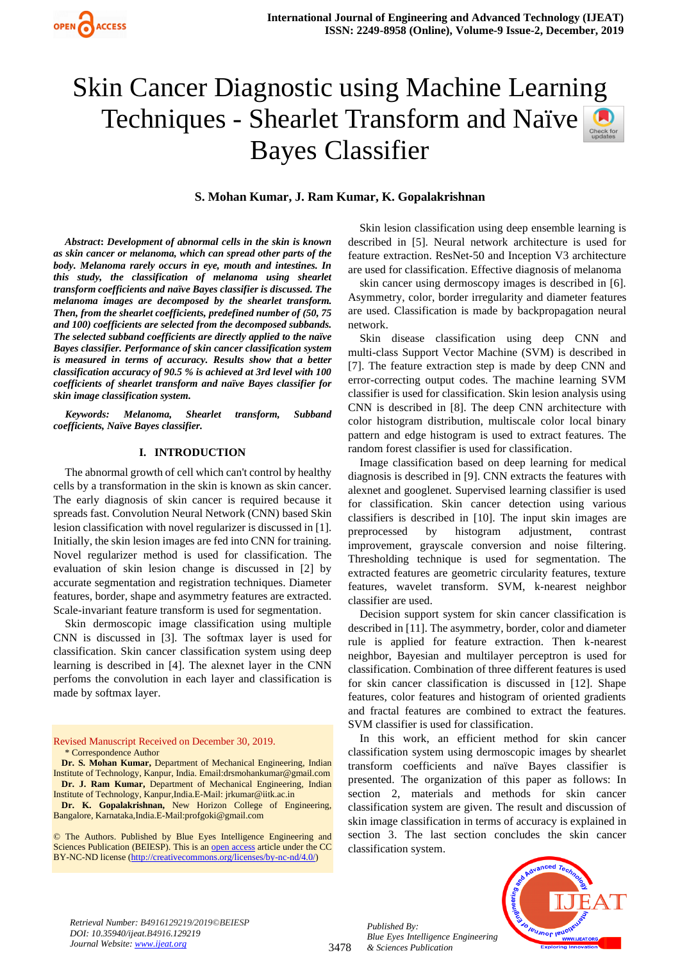

# Skin Cancer Diagnostic using Machine Learning Techniques - Shearlet Transform and Naïve Bayes Classifier

# **S. Mohan Kumar, J. Ram Kumar, K. Gopalakrishnan**

*Abstract***:** *Development of abnormal cells in the skin is known as skin cancer or melanoma, which can spread other parts of the body. Melanoma rarely occurs in eye, mouth and intestines. In this study, the classification of melanoma using shearlet transform coefficients and naïve Bayes classifier is discussed. The melanoma images are decomposed by the shearlet transform. Then, from the shearlet coefficients, predefined number of (50, 75 and 100) coefficients are selected from the decomposed subbands. The selected subband coefficients are directly applied to the naïve Bayes classifier. Performance of skin cancer classification system is measured in terms of accuracy. Results show that a better classification accuracy of 90.5 % is achieved at 3rd level with 100 coefficients of shearlet transform and naïve Bayes classifier for skin image classification system.*

*Keywords: Melanoma, Shearlet transform, Subband coefficients, Naïve Bayes classifier.* 

#### **I. INTRODUCTION**

The abnormal growth of cell which can't control by healthy cells by a transformation in the skin is known as skin cancer. The early diagnosis of skin cancer is required because it spreads fast. Convolution Neural Network (CNN) based Skin lesion classification with novel regularizer is discussed in [1]. Initially, the skin lesion images are fed into CNN for training. Novel regularizer method is used for classification. The evaluation of skin lesion change is discussed in [2] by accurate segmentation and registration techniques. Diameter features, border, shape and asymmetry features are extracted. Scale-invariant feature transform is used for segmentation.

Skin dermoscopic image classification using multiple CNN is discussed in [3]. The softmax layer is used for classification. Skin cancer classification system using deep learning is described in [4]. The alexnet layer in the CNN perfoms the convolution in each layer and classification is made by softmax layer.

Revised Manuscript Received on December 30, 2019. \* Correspondence Author

**Dr. S. Mohan Kumar,** Department of Mechanical Engineering, Indian Institute of Technology, Kanpur, India. Email:drsmohankumar@gmail.com **Dr. J. Ram Kumar,** Department of Mechanical Engineering, Indian Institute of Technology, Kanpur,India.E-Mail[: jrkumar@iitk.ac.in](mailto:jrkumar@iitk.ac.in)

**Dr. K. Gopalakrishnan,** New Horizon College of Engineering, Bangalore, Karnataka,India.E-Mail:profgoki@gmail.com

© The Authors. Published by Blue Eyes Intelligence Engineering and Sciences Publication (BEIESP). This is a[n open access](https://www.openaccess.nl/en/open-publications) article under the CC BY-NC-ND license [\(http://creativecommons.org/licenses/by-nc-nd/4.0/\)](http://creativecommons.org/licenses/by-nc-nd/4.0/)

Skin lesion classification using deep ensemble learning is described in [5]. Neural network architecture is used for feature extraction. ResNet-50 and Inception V3 architecture are used for classification. Effective diagnosis of melanoma

skin cancer using dermoscopy images is described in [6]. Asymmetry, color, border irregularity and diameter features are used. Classification is made by backpropagation neural network.

Skin disease classification using deep CNN and multi-class Support Vector Machine (SVM) is described in [7]. The feature extraction step is made by deep CNN and error-correcting output codes. The machine learning SVM classifier is used for classification. Skin lesion analysis using CNN is described in [8]. The deep CNN architecture with color histogram distribution, multiscale color local binary pattern and edge histogram is used to extract features. The random forest classifier is used for classification.

Image classification based on deep learning for medical diagnosis is described in [9]. CNN extracts the features with alexnet and googlenet. Supervised learning classifier is used for classification. Skin cancer detection using various classifiers is described in [10]. The input skin images are preprocessed by histogram adjustment, contrast improvement, grayscale conversion and noise filtering. Thresholding technique is used for segmentation. The extracted features are geometric circularity features, texture features, wavelet transform. SVM, k-nearest neighbor classifier are used.

Decision support system for skin cancer classification is described in [11]. The asymmetry, border, color and diameter rule is applied for feature extraction. Then k-nearest neighbor, Bayesian and multilayer perceptron is used for classification. Combination of three different features is used for skin cancer classification is discussed in [12]. Shape features, color features and histogram of oriented gradients and fractal features are combined to extract the features. SVM classifier is used for classification.

In this work, an efficient method for skin cancer classification system using dermoscopic images by shearlet transform coefficients and naïve Bayes classifier is presented. The organization of this paper as follows: In section 2, materials and methods for skin cancer classification system are given. The result and discussion of skin image classification in terms of accuracy is explained in section 3. The last section concludes the skin cancer classification system.



*Retrieval Number: B4916129219/2019©BEIESP DOI: 10.35940/ijeat.B4916.129219 Journal Website[: www.ijeat.org](http://www.ijeat.org/)*

3478

*Published By: Blue Eyes Intelligence Engineering & Sciences Publication*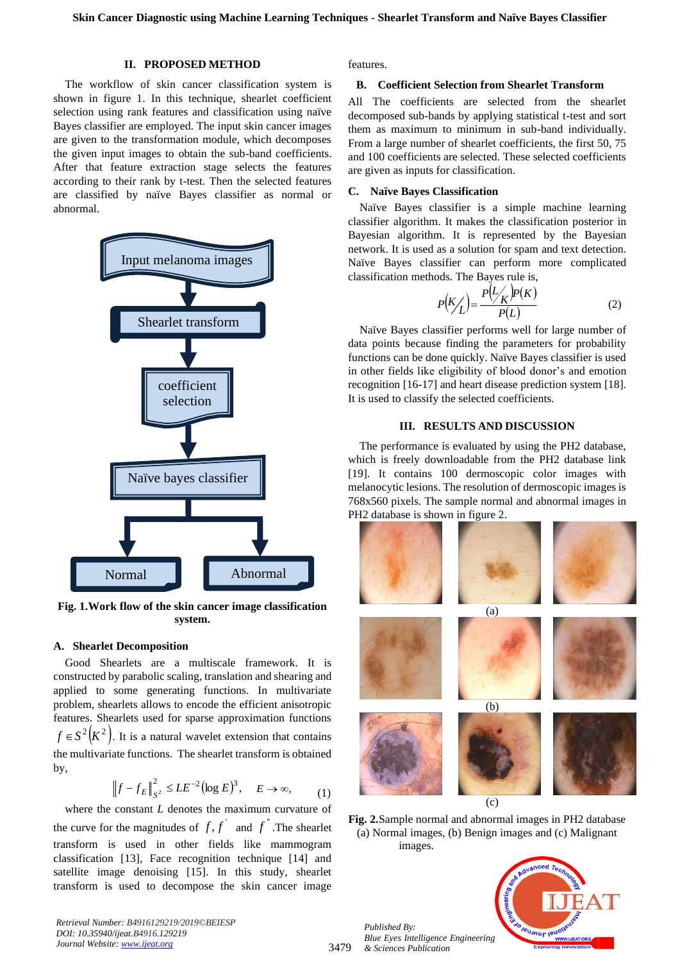# **II. PROPOSED METHOD**

The workflow of skin cancer classification system is shown in figure 1. In this technique, shearlet coefficient selection using rank features and classification using naïve Bayes classifier are employed. The input skin cancer images are given to the transformation module, which decomposes the given input images to obtain the sub-band coefficients. After that feature extraction stage selects the features according to their rank by t-test. Then the selected features are classified by naïve Bayes classifier as normal or abnormal.



**Fig. 1.Work flow of the skin cancer image classification system.**

#### **A. Shearlet Decomposition**

Good Shearlets are a multiscale framework. It is constructed by parabolic scaling, translation and shearing and applied to some generating functions. In multivariate problem, shearlets allows to encode the efficient anisotropic features. Shearlets used for sparse approximation functions  $f \in S^2(K^2)$ . It is a natural wavelet extension that contains the multivariate functions. The shearlet transform is obtained by,

$$
\left\|f - f_E\right\|_{S^2}^2 \le LE^{-2} (\log E)^3, \quad E \to \infty,
$$
 (1)

where the constant *L* denotes the maximum curvature of the curve for the magnitudes of  $f, f'$  and  $f''$ . The shearlet transform is used in other fields like mammogram classification [13], Face recognition technique [14] and satellite image denoising [15]. In this study, shearlet transform is used to decompose the skin cancer image

*Retrieval Number: B4916129219/2019©BEIESP DOI: 10.35940/ijeat.B4916.129219 Journal Website[: www.ijeat.org](http://www.ijeat.org/)*

features.

#### **B. Coefficient Selection from Shearlet Transform**

All The coefficients are selected from the shearlet decomposed sub-bands by applying statistical t-test and sort them as maximum to minimum in sub-band individually. From a large number of shearlet coefficients, the first 50, 75 and 100 coefficients are selected. These selected coefficients are given as inputs for classification.

#### **C. Naïve Bayes Classification**

Naïve Bayes classifier is a simple machine learning classifier algorithm. It makes the classification posterior in Bayesian algorithm. It is represented by the Bayesian network. It is used as a solution for spam and text detection. Naïve Bayes classifier can perform more complicated classification methods. The Bayes rule is,

$$
P\left(\frac{K}{L}\right) = \frac{P\left(L/_{K}\right)P(K)}{P(L)}\tag{2}
$$

Naïve Bayes classifier performs well for large number of data points because finding the parameters for probability functions can be done quickly. Naïve Bayes classifier is used in other fields like eligibility of blood donor's and emotion recognition [16-17] and heart disease prediction system [18]. It is used to classify the selected coefficients.

#### **III. RESULTS AND DISCUSSION**

The performance is evaluated by using the PH2 database, which is freely downloadable from the PH2 database link [19]. It contains 100 dermoscopic color images with melanocytic lesions. The resolution of dermoscopic images is 768x560 pixels. The sample normal and abnormal images in PH2 database is shown in figure 2.



**Fig. 2.**Sample normal and abnormal images in PH2 database (a) Normal images, (b) Benign images and (c) Malignant images.

*Published By: Blue Eyes Intelligence Engineering & Sciences Publication* 

3479